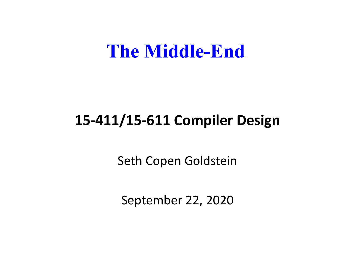#### **The Middle-End**

#### **15-411/15-611 Compiler Design**

Seth Copen Goldstein

September 22, 2020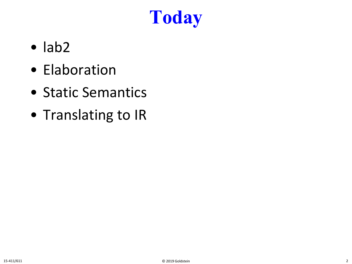# **Today**

- lab2
- Elaboration
- Static Semantics
- Translating to IR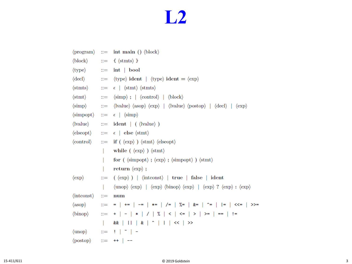#### **L2**

|                                                                      |              | $\langle$ program $\rangle$ ::= int main () $\langle$ block $\rangle$                                                                                                                                                                              |  |
|----------------------------------------------------------------------|--------------|----------------------------------------------------------------------------------------------------------------------------------------------------------------------------------------------------------------------------------------------------|--|
|                                                                      |              | $\langle \text{block} \rangle$ ::= { $\langle \text{stmts} \rangle$ }                                                                                                                                                                              |  |
| $\langle$ type $\rangle$ ::=                                         |              | $int \,   \, \text{bool}$                                                                                                                                                                                                                          |  |
|                                                                      |              | $\langle \text{decl} \rangle$ ::= $\langle \text{type} \rangle$ ident $  \langle \text{type} \rangle$ ident = $\langle \text{exp} \rangle$                                                                                                         |  |
| $\langle$ stmts $\rangle$ ::=                                        |              | $\epsilon$   $\langle$ stmt $\rangle$ $\langle$ stmts $\rangle$                                                                                                                                                                                    |  |
| $\langle \text{stmt} \rangle$                                        | $\mathbf{H}$ | $\langle \text{simp} \rangle$ ; $\langle \text{control} \rangle$ $\langle \text{block} \rangle$                                                                                                                                                    |  |
| $\langle \text{simp} \rangle$ ::=                                    |              | $\langle$ lvalue $\rangle$ $\langle$ asop $\rangle$ $\langle$ exp $\rangle$   $\langle$ lvalue $\rangle$ $\langle$ postop $\rangle$   $\langle$ decl $\rangle$   $\langle$ exp $\rangle$                                                           |  |
| $\langle \text{simpopt} \rangle$ ::=                                 |              | $\epsilon$   $\langle \text{simp} \rangle$                                                                                                                                                                                                         |  |
| $\langle \text{lvalue} \rangle$ ::=                                  |              | $ident \,   \, ( \, \langle \text{lvalue} \rangle )$                                                                                                                                                                                               |  |
| $\langle$ elseopt $\rangle$ ::=                                      |              | $\epsilon$   else $\langle$ stmt $\rangle$                                                                                                                                                                                                         |  |
|                                                                      |              | $\langle \text{control} \rangle$ ::= if $(\langle \text{exp} \rangle) \langle \text{stmt} \rangle \langle \text{elseopt} \rangle$                                                                                                                  |  |
|                                                                      |              |                                                                                                                                                                                                                                                    |  |
|                                                                      |              | while $(\langle exp \rangle) \langle$ stmt $\rangle$                                                                                                                                                                                               |  |
|                                                                      |              | for $(\langle \text{simpopt} \rangle; \langle \text{exp} \rangle; \langle \text{simpopt} \rangle) \langle \text{stmt} \rangle$                                                                                                                     |  |
|                                                                      |              | return $\langle \exp \rangle$ ;                                                                                                                                                                                                                    |  |
| $\langle \exp \rangle$                                               |              | $\equiv$ ( $\langle exp \rangle$ )   $\langle$ intconst $\rangle$   true   false   ident                                                                                                                                                           |  |
|                                                                      |              | $\langle \text{unop} \rangle$ $\langle \text{exp} \rangle$   $\langle \text{exp} \rangle$ $\langle \text{binop} \rangle$ $\langle \text{exp} \rangle$   $\langle \text{exp} \rangle$ ? $\langle \text{exp} \rangle$ : $\langle \text{exp} \rangle$ |  |
| $\langle$ integents $\rangle$ ::=                                    |              | num                                                                                                                                                                                                                                                |  |
| $\langle \text{asop} \rangle$                                        |              | ::= =   +=   -=   *=   /=   %=   &=   ^=    =   <<=   >>=                                                                                                                                                                                          |  |
| $\langle \text{binop} \rangle$                                       |              | ::= +   -   *   /   %   <   <=   >   >=   ==   !=                                                                                                                                                                                                  |  |
|                                                                      | $\mathbf{L}$ | &         &   ^       <<   >>                                                                                                                                                                                                                      |  |
| $\langle \text{unop} \rangle$ ::= $\mid \mid \text{ }^{\sim} \mid$ - |              |                                                                                                                                                                                                                                                    |  |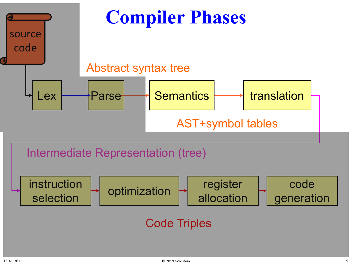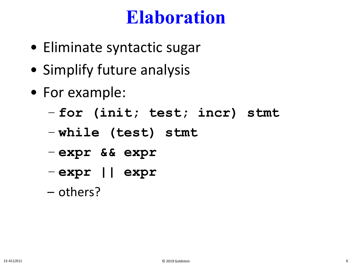#### **Elaboration**

- Eliminate syntactic sugar
- Simplify future analysis
- For example:
	- **for (init; test; incr) stmt**
	- **while (test) stmt**
	- **expr && expr**
	- **expr || expr**
	- others?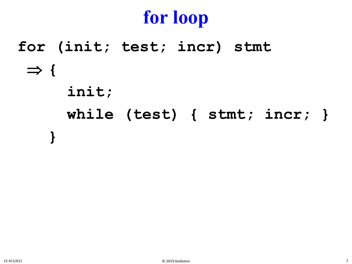# **for loop**

**for (init; test; incr) stmt** ⇒ **{ init; while (test) { stmt; incr; } }**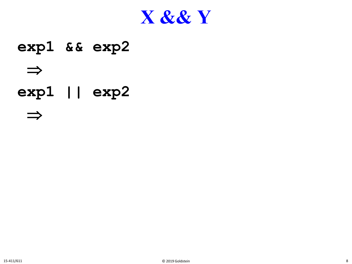

#### **exp1 && exp2**  ⇒ **exp1 || exp2**

⇒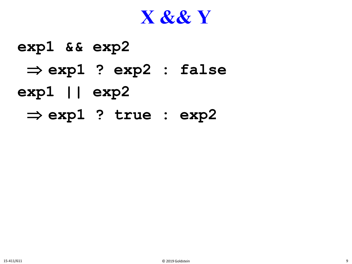#### **X && Y**

# **exp1 && exp2**  ⇒ **exp1 ? exp2 : false exp1 || exp2** ⇒ **exp1 ? true : exp2**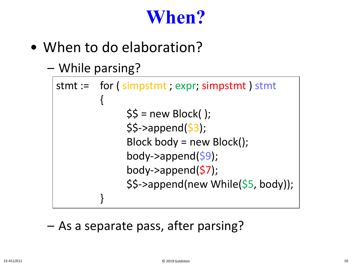## **When?**

• When to do elaboration?

```
– While parsing?
```

```
stmt := for ( simpstmt ; expr; simpstmt ) stmt
         {
              $5 = new Block();
              $5->append($3);
              Block body = new Block();
              body->append($9);
              body->append(57);
              $$->append(new While($5, body));
         }
```
– As a separate pass, after parsing?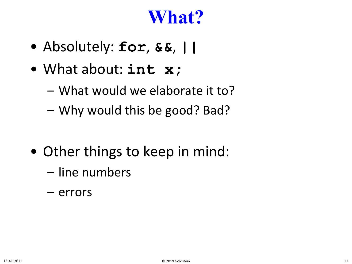#### **What?**

- Absolutely: **for**, **&&**, **||**
- What about: **int x;**
	- What would we elaborate it to?
	- Why would this be good? Bad?
- Other things to keep in mind:
	- line numbers
	- errors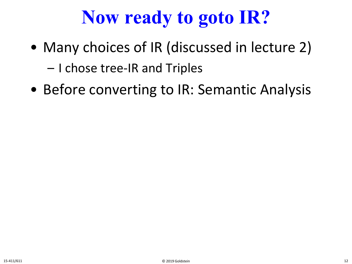# **Now ready to goto IR?**

- Many choices of IR (discussed in lecture 2) – I chose tree-IR and Triples
- Before converting to IR: Semantic Analysis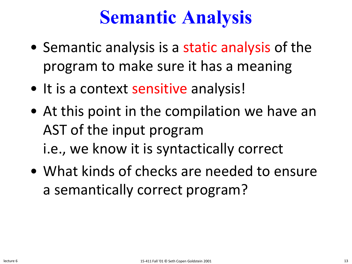- Semantic analysis is a static analysis of the program to make sure it has a meaning
- It is a context sensitive analysis!
- At this point in the compilation we have an AST of the input program i.e., we know it is syntactically correct
- What kinds of checks are needed to ensure a semantically correct program?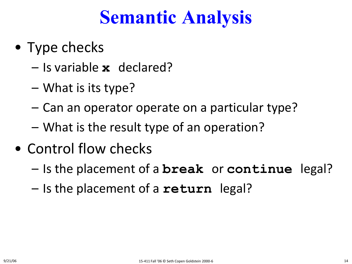- Type checks
	- Is variable **x** declared?
	- What is its type?
	- Can an operator operate on a particular type?
	- What is the result type of an operation?
- Control flow checks
	- Is the placement of a **break** or **continue** legal?
	- Is the placement of a **return** legal?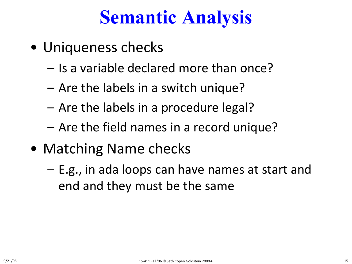- Uniqueness checks
	- Is a variable declared more than once?
	- Are the labels in a switch unique?
	- Are the labels in a procedure legal?
	- Are the field names in a record unique?
- Matching Name checks
	- E.g., in ada loops can have names at start and end and they must be the same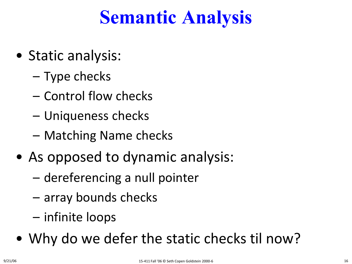- Static analysis:
	- Type checks
	- Control flow checks
	- Uniqueness checks
	- Matching Name checks
- As opposed to dynamic analysis:
	- dereferencing a null pointer
	- array bounds checks
	- infinite loops
- Why do we defer the static checks til now?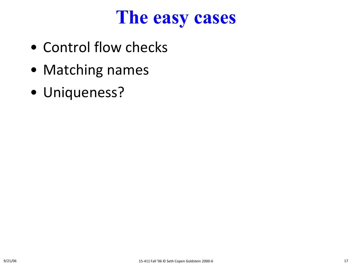#### **The easy cases**

- Control flow checks
- Matching names
- Uniqueness?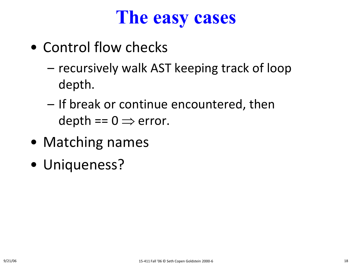#### **The easy cases**

- Control flow checks
	- recursively walk AST keeping track of loop depth.
	- If break or continue encountered, then depth ==  $0 \Rightarrow$  error.
- Matching names
- Uniqueness?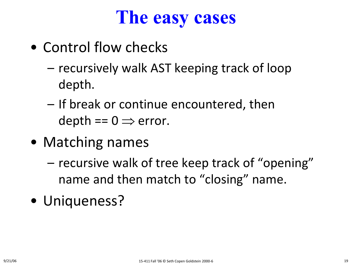#### **The easy cases**

- Control flow checks
	- recursively walk AST keeping track of loop depth.
	- If break or continue encountered, then depth ==  $0 \Rightarrow$  error.
- Matching names
	- recursive walk of tree keep track of "opening" name and then match to "closing" name.
- Uniqueness?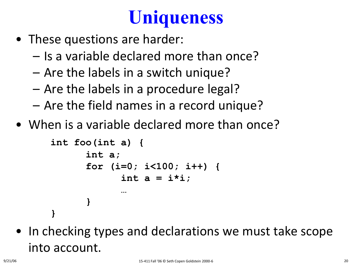# **Uniqueness**

- These questions are harder:
	- Is a variable declared more than once?
	- Are the labels in a switch unique?
	- Are the labels in a procedure legal?
	- Are the field names in a record unique?
- When is a variable declared more than once?

```
int foo(int a) { 
      int a; 
      for (i=0; i<100; i++) {
             int a = i*i;
             … 
       }
```
• In checking types and declarations we must take scope into account.

**}**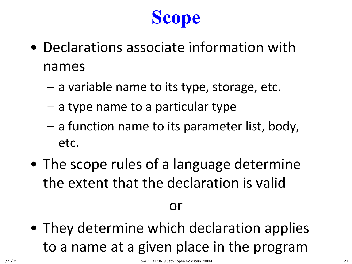# **Scope**

- Declarations associate information with names
	- a variable name to its type, storage, etc.
	- a type name to a particular type
	- a function name to its parameter list, body, etc.
- The scope rules of a language determine the extent that the declaration is valid

#### or

• They determine which declaration applies to a name at a given place in the program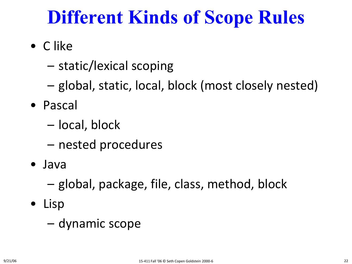## **Different Kinds of Scope Rules**

- C like
	- static/lexical scoping
	- global, static, local, block (most closely nested)
- Pascal
	- local, block
	- nested procedures
- Java
	- global, package, file, class, method, block
- Lisp
	- dynamic scope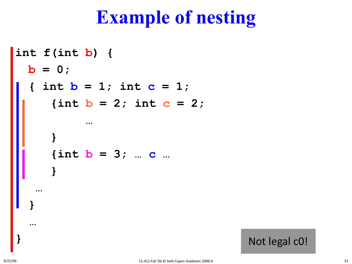#### **Example of nesting**

```
int f(int b) {

  \{ int \bf{b} = 1; int \bf{c} = 1;
     \{int b = 2; int c = 2;…
      }
     {int b = 3; … c …
      }
   …
  }
  …
```
**}** Not legal c0!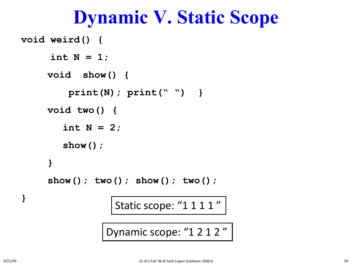#### **Dynamic V. Static Scope**

```
void weird() {
     int N = 1;
    void show() {
        print(N); print(" ") }
    void two() {
       int N = 2;
       show();
    }
    show(); two(); show(); two();
} Static scope: "1 1 1 1 "
              Dynamic scope: "1 2 1 2"
```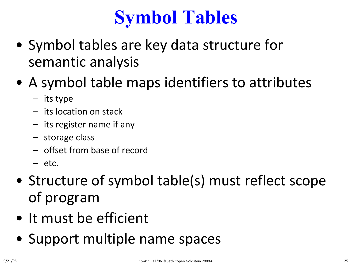# **Symbol Tables**

- Symbol tables are key data structure for semantic analysis
- A symbol table maps identifiers to attributes
	- its type
	- its location on stack
	- its register name if any
	- storage class
	- offset from base of record
	- etc.
- Structure of symbol table(s) must reflect scope of program
- It must be efficient
- Support multiple name spaces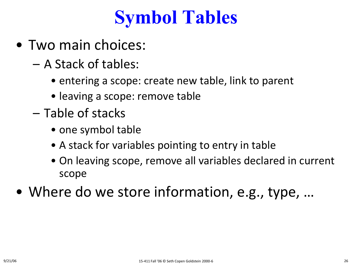### **Symbol Tables**

- Two main choices:
	- A Stack of tables:
		- entering a scope: create new table, link to parent
		- leaving a scope: remove table
	- Table of stacks
		- one symbol table
		- A stack for variables pointing to entry in table
		- On leaving scope, remove all variables declared in current scope
- Where do we store information, e.g., type, …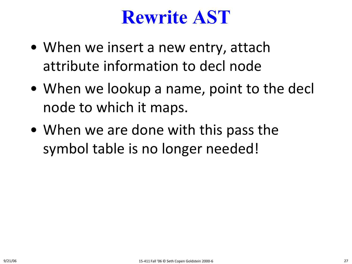#### **Rewrite AST**

- When we insert a new entry, attach attribute information to decl node
- When we lookup a name, point to the decl node to which it maps.
- When we are done with this pass the symbol table is no longer needed!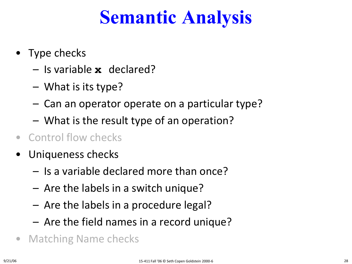- Type checks
	- Is variable **x** declared?
	- What is its type?
	- Can an operator operate on a particular type?
	- What is the result type of an operation?
- Control flow checks
- Uniqueness checks
	- Is a variable declared more than once?
	- Are the labels in a switch unique?
	- Are the labels in a procedure legal?
	- Are the field names in a record unique?
- Matching Name checks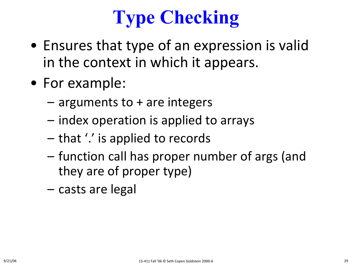# **Type Checking**

- Ensures that type of an expression is valid in the context in which it appears.
- For example:
	- arguments to + are integers
	- index operation is applied to arrays
	- that '.' is applied to records
	- function call has proper number of args (and they are of proper type)
	- casts are legal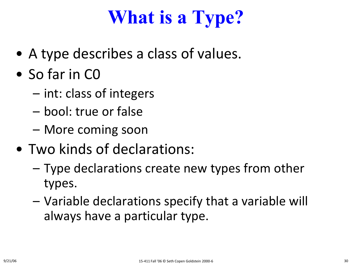# **What is a Type?**

- A type describes a class of values.
- So far in C0
	- int: class of integers
	- bool: true or false
	- More coming soon
- Two kinds of declarations:
	- Type declarations create new types from other types.
	- Variable declarations specify that a variable will always have a particular type.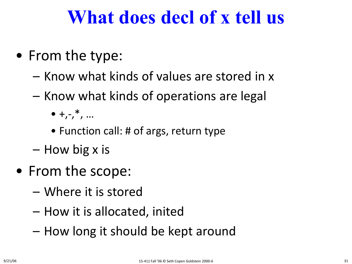#### **What does decl of x tell us**

- From the type:
	- Know what kinds of values are stored in x
	- Know what kinds of operations are legal
		- $\bullet$  +,-,<sup>\*</sup>, ...
		- Function call: # of args, return type
	- How big x is
- From the scope:
	- Where it is stored
	- How it is allocated, inited
	- How long it should be kept around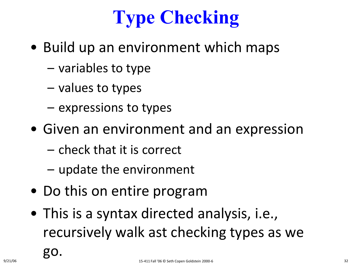# **Type Checking**

- Build up an environment which maps
	- variables to type
	- values to types
	- expressions to types
- Given an environment and an expression
	- check that it is correct
	- update the environment
- Do this on entire program
- This is a syntax directed analysis, i.e., recursively walk ast checking types as we

go.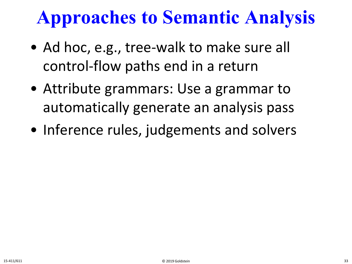# **Approaches to Semantic Analysis**

- Ad hoc, e.g., tree-walk to make sure all control-flow paths end in a return
- Attribute grammars: Use a grammar to automatically generate an analysis pass
- Inference rules, judgements and solvers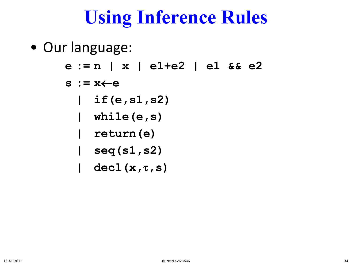## **Using Inference Rules**

- Our language:
	- **e := n | x | e1+e2 | e1 && e2**
	- **s := x**←**e**
		- **| if(e,s1,s2)**
		- **| while(e,s)**
		- **| return(e)**
		- **| seq(s1,s2)**
		- **| decl(x,**τ**,s)**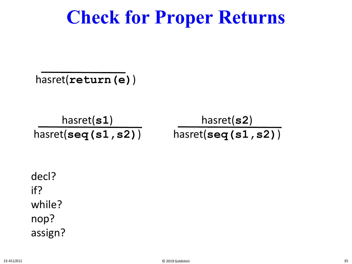#### **Check for Proper Returns**

hasret(**return(e)**)

hasret(**s1**) hasret(**seq(s1,s2)**) hasret(**s2**) hasret(**seq(s1,s2)**)

decl? if? while? nop? assign?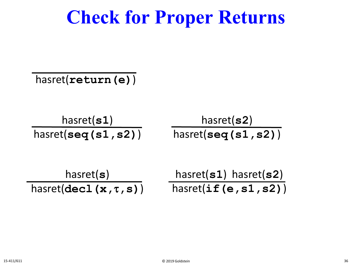#### **Check for Proper Returns**

hasret(**return(e)**)

hasret(**s1**) hasret(**seq(s1,s2)**) hasret(**s2**) hasret(**seq(s1,s2)**)

$$
\begin{array}{ccc}\n & \text{hasret(s)} & \text{hasret(s1) hasret(s2)} \\
 \text{hasret(decl(x, \tau, s))} & & \text{hasret(if(e, s1, s2))} \\
 \end{array}
$$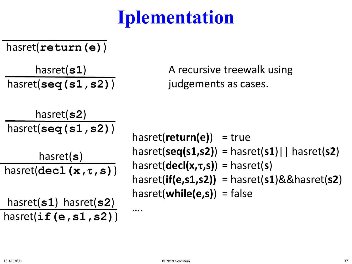# **Iplementation**

#### hasret(**return(e)**)

hasret(**s1**) hasret(**seq(s1,s2)**) A recursive treewalk using judgements as cases.

$$
\frac{\text{hasret(s2)}}{\text{hasret(seq(s1,s2))}}
$$

hasret(**s**) hasret(**decl(x,**τ**,s)**)

hasret(**s1**) hasret(**s2**) hasret(**if(e,s1,s2)**) hasret(**return(e)**) = true hasret(**seq(s1,s2)**) = hasret(**s1**)|| hasret(**s2**) hasret(**decl(x,**τ**,s)**) = hasret(**s**) hasret(**if(e,s1,s2))** = hasret(**s1**)&&hasret(**s2**) hasret(**while(e,s)**) = false

….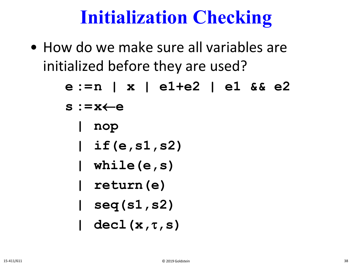#### **Initialization Checking**

• How do we make sure all variables are initialized before they are used?

|  | e :=n   x   e1+e2   e1 && e2  |
|--|-------------------------------|
|  | $s := x \leftarrow e$         |
|  | nop                           |
|  | $\vert$ if (e, s1, s2)        |
|  | $\blacksquare$ while $(e, s)$ |
|  | return (e)                    |
|  | seq(s1, s2)                   |
|  | $dec1(x, \tau, s)$            |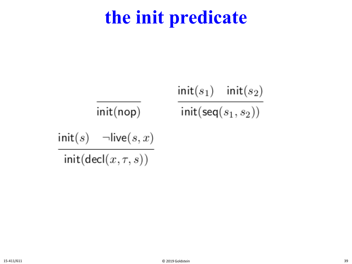#### **the init predicate**

$$
\frac{\text{init}(s_1) \quad \text{init}(s_2)}{\text{init}(\text{nop})}
$$
\n
$$
\frac{\text{init}(s_1) \quad \text{init}(s_2)}{\text{init}(\text{seq}(s_1, s_2))}
$$
\n
$$
\frac{\text{init}(s) \quad \neg \text{live}(s, x)}{\text{init}(\text{decl}(x, \tau, s))}
$$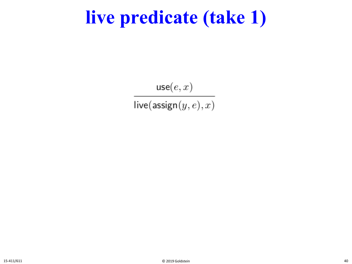#### **live predicate (take 1)**

 $\mathsf{use}(e,x)$  $live(\textsf{assign}(y, e), x)$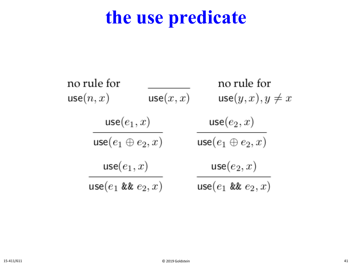#### **the use predicate**

| no rule for<br>use(n, x)  | use(x, x)     | no rule for<br>$use(y, x), y \neq x$ |  |
|---------------------------|---------------|--------------------------------------|--|
|                           | $use(e_1, x)$ |                                      |  |
| use $(e_1 \oplus e_2, x)$ |               | use $(e_1 \oplus e_2, x)$            |  |
| $use(e_1, x)$             |               | $use(e_2, x)$                        |  |
| use $(e_1 \& e_2, x)$     |               | use $(e_1 \& e_2, x)$                |  |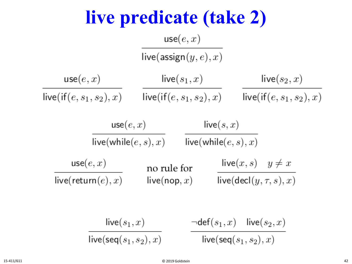**live predicate (take 2)**  $use(e, x)$ live(assign $(y, e), x$ )  $use(e, x)$  $live(s_1, x)$ live $(s_2, x)$  $live(if(e, s_1, s_2), x)$   $live(if(e, s_1, s_2), x)$   $live(if(e, s_1, s_2), x)$  $use(e, x)$  $live(s, x)$  $live(while (e, s), x)$   $live(while (e, s), x)$  $use(e, x)$ live $(x, s)$   $y \neq x$ no rule for live $(\text{decl}(y, \tau, s), x)$ live(return $(e),x)$ live(nop,  $x)$  $live(s_1, x)$  $\neg \mathsf{def}(s_1,x)$  live $(s_2,x)$ live(seq $(s_1, s_2), x$ ) live(seq $(s_1, s_2), x$ )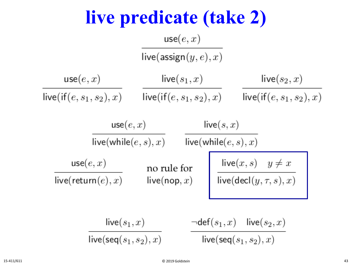**live predicate (take 2)**  $use(e, x)$ live(assign $(y, e), x$ )  $use(e, x)$  $live(s_1, x)$ live $(s_2, x)$  $live(if(e, s_1, s_2), x)$   $live(if(e, s_1, s_2), x)$  $live(if(e, s_1, s_2), x)$  $use(e, x)$ live $(s, x)$  $live(while (e, s), x)$   $live(while (e, s), x)$  $\frac{\text{live}(x, s) \quad y \neq x}{\text{live}( \text{decl}(y, \tau, s), x)}$  $use(e, x)$ no rule for live(return $(e),x)$ live(nop,  $x$ )  ${\sf live}(s_1,x)$  $\neg \mathsf{def}(s_1,x)$  live $(s_2,x)$ live(seq $(s_1, s_2), x$ ) live(seq $(s_1, s_2), x$ )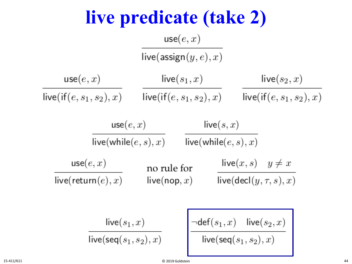**live predicate (take 2)**  $use(e, x)$ live(assign $(y, e), x$ )  $use(e, x)$  ${\sf live}(s_1,x)$ live $(s_2, x)$  $live(if(e, s_1, s_2), x)$   $live(if(e, s_1, s_2), x)$   $live(if(e, s_1, s_2), x)$  $use(e, x)$  $live(s, x)$  $live(while (e, s), x)$   $live(while (e, s), x)$  $use(e, x)$ live $(x, s)$   $y \neq x$ no rule for live $(\text{decl}(y, \tau, s), x)$ live(return $(e),x)$ live(nop,  $x)$  $\frac{\neg {\sf def}(s_1,x) \quad {\sf live}(s_2,x)}{{\sf live}({\sf seq}(s_1,s_2),x)}$  ${\sf live}(s_1,x)$ live(seq $(s_1, s_2), x$ )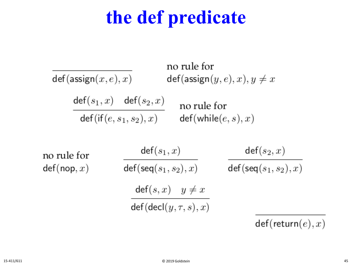## **the def predicate**

no rule for  $def(assign(x, e), x)$  $def(assign(y, e), x), y \neq x$  $\mathsf{def}(s_1,x)$   $\mathsf{def}(s_2,x)$ no rule for  $\mathsf{def}(\mathsf{if}(e,s_1,s_2),x)$  $def(while (e, s), x)$ 

no rule for  $def(nop, x)$ 

 $\mathsf{def}(s_1,x)$  $\mathsf{def}(s_2,x)$  $\mathsf{def}(\mathsf{seq}(s_1,s_2),x)$  $def(seq(s_1, s_2), x)$  $def(s, x)$   $y \neq x$  $def(det(y, \tau, s), x)$ 

 $def(return(e), x)$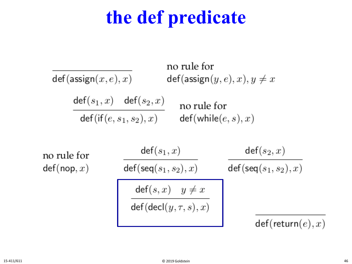## **the def predicate**

no rule for  $def(assign(x, e), x)$  $def(assign(y, e), x), y \neq x$  $\mathsf{def}(s_1,x)$   $\mathsf{def}(s_2,x)$ no rule for  $def(if(e, s_1, s_2), x)$   $def(while(e, s), x)$  $\mathsf{def}(s_1,x)$  $\mathsf{def}(s_2,x)$ no rule for  $\mathsf{def}(\mathsf{seq}(s_1,s_2),x)$  $def(seq(s_1, s_2), x)$  $def(nop, x)$  $\frac{\mathsf{def}(s,x) \quad y \neq x}{\mathsf{def}(\mathsf{decl}(y,\tau,s),x)}$  $def(return(e), x)$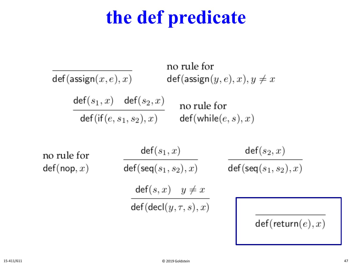## **the def predicate**

no rule for  $def(assign(x, e), x)$  $def(assign(y, e), x), y \neq x$  $\mathsf{def}(s_1,x)$   $\mathsf{def}(s_2,x)$ no rule for  $def(if(e, s_1, s_2), x)$  $def(while (e, s), x)$ 

no rule for  $def(nop, x)$ 

 $\mathsf{def}(s_1,x)$  $\mathsf{def}(\mathsf{seq}(s_1,s_2),x)$  $\text{def}(s, x)$   $y \neq x$  $\det(\det(y, \tau, s), x)$ 

 $def(return(e), x)$ 

 $\mathsf{def}(s_2,x)$ 

 $\mathsf{def}(\mathsf{seq}(s_1,s_2),x)$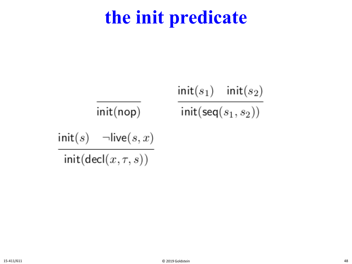#### **the init predicate**

$$
\frac{\mathsf{init}(s_1)\quad \mathsf{init}(s_2)}{\mathsf{init}(\mathsf{nop})}\qquad \frac{\mathsf{init}(s_1)\quad \mathsf{init}(s_2)}{\mathsf{init}(\mathsf{seq}(s_1,s_2))}
$$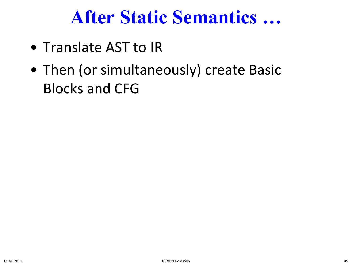#### **After Static Semantics …**

- Translate AST to IR
- Then (or simultaneously) create Basic Blocks and CFG